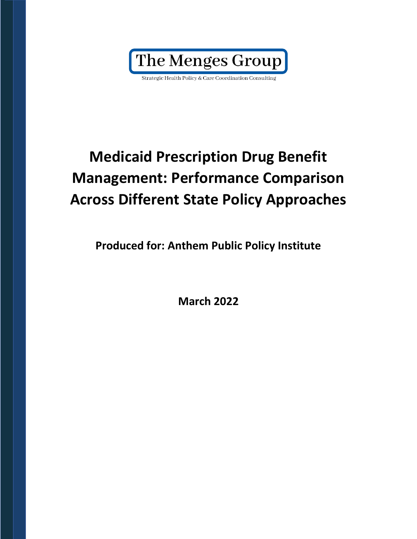Strategic Health Policy & Care Coordination Consulting

## **Medicaid Prescription Drug Benefit Management: Performance Comparison Across Different State Policy Approaches**

**Produced for: Anthem Public Policy Institute**

**March 2022**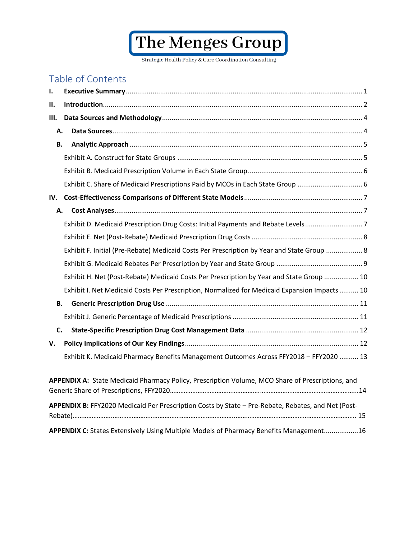<span id="page-1-0"></span>Strategic Health Policy & Care Coordination Consulting

## Table of Contents

| Ι.  |                                                                                                    |  |
|-----|----------------------------------------------------------------------------------------------------|--|
| Н.  |                                                                                                    |  |
| Ш.  |                                                                                                    |  |
| А.  |                                                                                                    |  |
| В.  |                                                                                                    |  |
|     |                                                                                                    |  |
|     |                                                                                                    |  |
|     | Exhibit C. Share of Medicaid Prescriptions Paid by MCOs in Each State Group  6                     |  |
| IV. |                                                                                                    |  |
| А.  |                                                                                                    |  |
|     | Exhibit D. Medicaid Prescription Drug Costs: Initial Payments and Rebate Levels7                   |  |
|     |                                                                                                    |  |
|     | Exhibit F. Initial (Pre-Rebate) Medicaid Costs Per Prescription by Year and State Group  8         |  |
|     |                                                                                                    |  |
|     | Exhibit H. Net (Post-Rebate) Medicaid Costs Per Prescription by Year and State Group  10           |  |
|     | Exhibit I. Net Medicaid Costs Per Prescription, Normalized for Medicaid Expansion Impacts  10      |  |
| В.  |                                                                                                    |  |
|     |                                                                                                    |  |
| C.  |                                                                                                    |  |
| v.  |                                                                                                    |  |
|     | Exhibit K. Medicaid Pharmacy Benefits Management Outcomes Across FFY2018 - FFY2020  13             |  |
|     |                                                                                                    |  |
|     | APPENDIX A: State Medicaid Pharmacy Policy, Prescription Volume, MCO Share of Prescriptions, and   |  |
|     | APPENDIX B: FFY2020 Medicaid Per Prescription Costs by State - Pre-Rebate, Rebates, and Net (Post- |  |
|     | APPENDIX C: States Extensively Using Multiple Models of Pharmacy Benefits Management16             |  |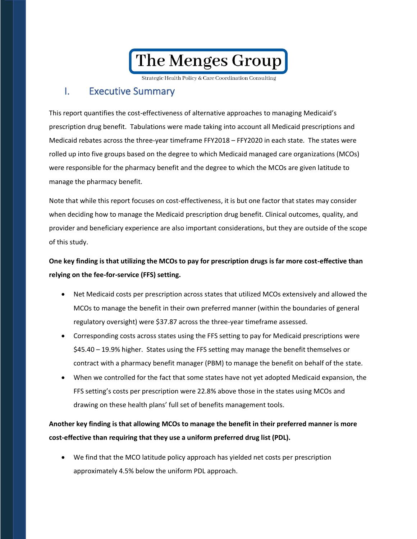Strategic Health Policy & Care Coordination Consulting

### I. Executive Summary

This report quantifies the cost-effectiveness of alternative approaches to managing Medicaid's prescription drug benefit. Tabulations were made taking into account all Medicaid prescriptions and Medicaid rebates across the three-year timeframe FFY2018 – FFY2020 in each state. The states were rolled up into five groups based on the degree to which Medicaid managed care organizations (MCOs) were responsible for the pharmacy benefit and the degree to which the MCOs are given latitude to manage the pharmacy benefit.

Note that while this report focuses on cost-effectiveness, it is but one factor that states may consider when deciding how to manage the Medicaid prescription drug benefit. Clinical outcomes, quality, and provider and beneficiary experience are also important considerations, but they are outside of the scope of this study.

### **One key finding is that utilizing the MCOs to pay for prescription drugs is far more cost-effective than relying on the fee-for-service (FFS) setting.**

- Net Medicaid costs per prescription across states that utilized MCOs extensively and allowed the MCOs to manage the benefit in their own preferred manner (within the boundaries of general regulatory oversight) were \$37.87 across the three-year timeframe assessed.
- Corresponding costs across states using the FFS setting to pay for Medicaid prescriptions were \$45.40 – 19.9% higher. States using the FFS setting may manage the benefit themselves or contract with a pharmacy benefit manager (PBM) to manage the benefit on behalf of the state.
- When we controlled for the fact that some states have not yet adopted Medicaid expansion, the FFS setting's costs per prescription were 22.8% above those in the states using MCOs and drawing on these health plans' full set of benefits management tools.

### **Another key finding is that allowing MCOs to manage the benefit in their preferred manner is more cost-effective than requiring that they use a uniform preferred drug list (PDL).**

• We find that the MCO latitude policy approach has yielded net costs per prescription approximately 4.5% below the uniform PDL approach.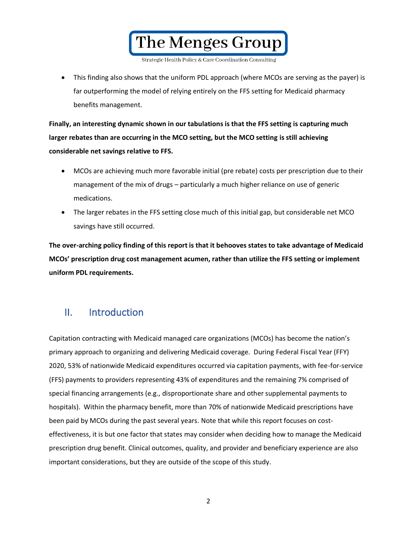The Menges Group

• This finding also shows that the uniform PDL approach (where MCOs are serving as the payer) is far outperforming the model of relying entirely on the FFS setting for Medicaid pharmacy benefits management.

**Finally, an interesting dynamic shown in our tabulations is that the FFS setting is capturing much larger rebates than are occurring in the MCO setting, but the MCO setting is still achieving considerable net savings relative to FFS.** 

- MCOs are achieving much more favorable initial (pre rebate) costs per prescription due to their management of the mix of drugs – particularly a much higher reliance on use of generic medications.
- The larger rebates in the FFS setting close much of this initial gap, but considerable net MCO savings have still occurred.

**The over-arching policy finding of this report is that it behooves states to take advantage of Medicaid MCOs' prescription drug cost management acumen, rather than utilize the FFS setting or implement uniform PDL requirements.** 

## <span id="page-3-0"></span>II. Introduction

Capitation contracting with Medicaid managed care organizations (MCOs) has become the nation's primary approach to organizing and delivering Medicaid coverage. During Federal Fiscal Year (FFY) 2020, 53% of nationwide Medicaid expenditures occurred via capitation payments, with fee-for-service (FFS) payments to providers representing 43% of expenditures and the remaining 7% comprised of special financing arrangements (e.g., disproportionate share and other supplemental payments to hospitals). Within the pharmacy benefit, more than 70% of nationwide Medicaid prescriptions have been paid by MCOs during the past several years. Note that while this report focuses on costeffectiveness, it is but one factor that states may consider when deciding how to manage the Medicaid prescription drug benefit. Clinical outcomes, quality, and provider and beneficiary experience are also important considerations, but they are outside of the scope of this study.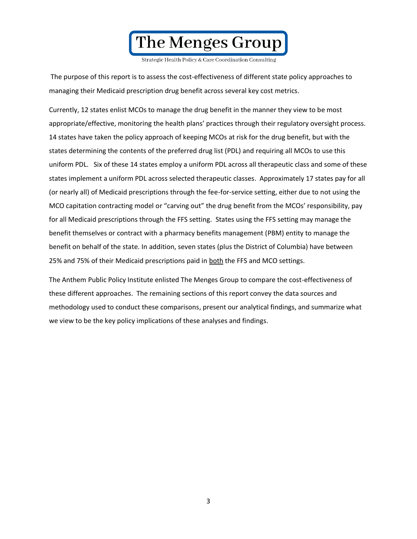

The purpose of this report is to assess the cost-effectiveness of different state policy approaches to managing their Medicaid prescription drug benefit across several key cost metrics.

Currently, 12 states enlist MCOs to manage the drug benefit in the manner they view to be most appropriate/effective, monitoring the health plans' practices through their regulatory oversight process. 14 states have taken the policy approach of keeping MCOs at risk for the drug benefit, but with the states determining the contents of the preferred drug list (PDL) and requiring all MCOs to use this uniform PDL. Six of these 14 states employ a uniform PDL across all therapeutic class and some of these states implement a uniform PDL across selected therapeutic classes. Approximately 17 states pay for all (or nearly all) of Medicaid prescriptions through the fee-for-service setting, either due to not using the MCO capitation contracting model or "carving out" the drug benefit from the MCOs' responsibility, pay for all Medicaid prescriptions through the FFS setting. States using the FFS setting may manage the benefit themselves or contract with a pharmacy benefits management (PBM) entity to manage the benefit on behalf of the state. In addition, seven states (plus the District of Columbia) have between 25% and 75% of their Medicaid prescriptions paid in both the FFS and MCO settings.

The Anthem Public Policy Institute enlisted The Menges Group to compare the cost-effectiveness of these different approaches. The remaining sections of this report convey the data sources and methodology used to conduct these comparisons, present our analytical findings, and summarize what we view to be the key policy implications of these analyses and findings.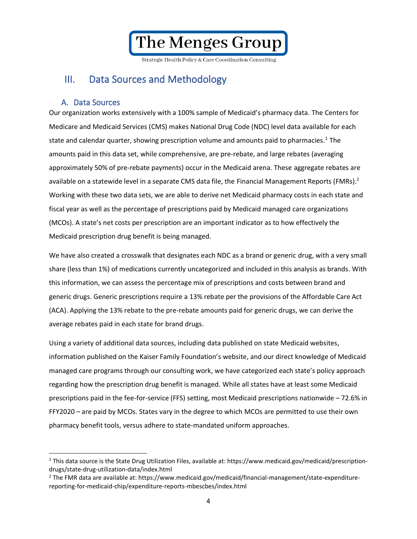Strategic Health Policy & Care Coordination Consulting

## <span id="page-5-0"></span>III. Data Sources and Methodology

### A. Data Sources

<span id="page-5-1"></span>Our organization works extensively with a 100% sample of Medicaid's pharmacy data. The Centers for Medicare and Medicaid Services (CMS) makes National Drug Code (NDC) level data available for each state and calendar quarter, showing prescription volume and amounts paid to pharmacies.<sup>1</sup> The amounts paid in this data set, while comprehensive, are pre-rebate, and large rebates (averaging approximately 50% of pre-rebate payments) occur in the Medicaid arena. These aggregate rebates are available on a statewide level in a separate CMS data file, the Financial Management Reports (FMRs).<sup>2</sup> Working with these two data sets, we are able to derive net Medicaid pharmacy costs in each state and fiscal year as well as the percentage of prescriptions paid by Medicaid managed care organizations (MCOs). A state's net costs per prescription are an important indicator as to how effectively the Medicaid prescription drug benefit is being managed.

We have also created a crosswalk that designates each NDC as a brand or generic drug, with a very small share (less than 1%) of medications currently uncategorized and included in this analysis as brands. With this information, we can assess the percentage mix of prescriptions and costs between brand and generic drugs. Generic prescriptions require a 13% rebate per the provisions of the Affordable Care Act (ACA). Applying the 13% rebate to the pre-rebate amounts paid for generic drugs, we can derive the average rebates paid in each state for brand drugs.

Using a variety of additional data sources, including data published on state Medicaid websites, information published on the Kaiser Family Foundation's website, and our direct knowledge of Medicaid managed care programs through our consulting work, we have categorized each state's policy approach regarding how the prescription drug benefit is managed. While all states have at least some Medicaid prescriptions paid in the fee-for-service (FFS) setting, most Medicaid prescriptions nationwide – 72.6% in FFY2020 – are paid by MCOs. States vary in the degree to which MCOs are permitted to use their own pharmacy benefit tools, versus adhere to state-mandated uniform approaches.

<sup>&</sup>lt;sup>1</sup> This data source is the State Drug Utilization Files, available at: https://www.medicaid.gov/medicaid/prescriptiondrugs/state-drug-utilization-data/index.html

<sup>&</sup>lt;sup>2</sup> The FMR data are available at: https://www.medicaid.gov/medicaid/financial-management/state-expenditurereporting-for-medicaid-chip/expenditure-reports-mbescbes/index.html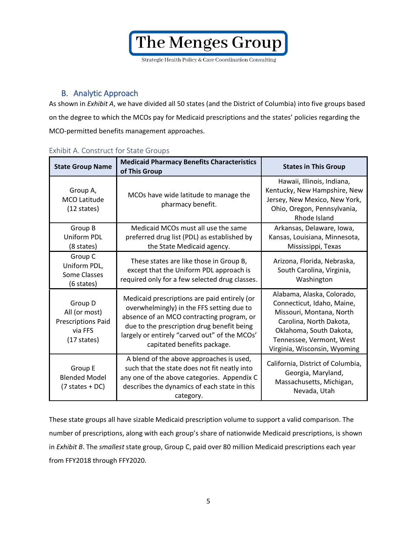Strategic Health Policy & Care Coordination Consulting

### B. Analytic Approach

<span id="page-6-0"></span>As shown in *Exhibit A*, we have divided all 50 states (and the District of Columbia) into five groups based on the degree to which the MCOs pay for Medicaid prescriptions and the states' policies regarding the MCO-permitted benefits management approaches.

| <b>State Group Name</b>                                                                   | <b>Medicaid Pharmacy Benefits Characteristics</b><br>of This Group                                                                                                                                                                                                   | <b>States in This Group</b>                                                                                                                                                                            |
|-------------------------------------------------------------------------------------------|----------------------------------------------------------------------------------------------------------------------------------------------------------------------------------------------------------------------------------------------------------------------|--------------------------------------------------------------------------------------------------------------------------------------------------------------------------------------------------------|
| Group A,<br><b>MCO Latitude</b><br>$(12 \text{ states})$                                  | MCOs have wide latitude to manage the<br>pharmacy benefit.                                                                                                                                                                                                           | Hawaii, Illinois, Indiana,<br>Kentucky, New Hampshire, New<br>Jersey, New Mexico, New York,<br>Ohio, Oregon, Pennsylvania,<br>Rhode Island                                                             |
| Group B<br>Uniform PDL<br>(8 states)                                                      | Medicaid MCOs must all use the same<br>preferred drug list (PDL) as established by<br>the State Medicaid agency.                                                                                                                                                     | Arkansas, Delaware, Iowa,<br>Kansas, Louisiana, Minnesota,<br>Mississippi, Texas                                                                                                                       |
| Group C<br>Uniform PDL,<br>Some Classes<br>(6 states)                                     | These states are like those in Group B,<br>except that the Uniform PDL approach is<br>required only for a few selected drug classes.                                                                                                                                 | Arizona, Florida, Nebraska,<br>South Carolina, Virginia,<br>Washington                                                                                                                                 |
| Group D<br>All (or most)<br><b>Prescriptions Paid</b><br>via FFS<br>$(17 \text{ states})$ | Medicaid prescriptions are paid entirely (or<br>overwhelmingly) in the FFS setting due to<br>absence of an MCO contracting program, or<br>due to the prescription drug benefit being<br>largely or entirely "carved out" of the MCOs'<br>capitated benefits package. | Alabama, Alaska, Colorado,<br>Connecticut, Idaho, Maine,<br>Missouri, Montana, North<br>Carolina, North Dakota,<br>Oklahoma, South Dakota,<br>Tennessee, Vermont, West<br>Virginia, Wisconsin, Wyoming |
| Group E<br><b>Blended Model</b><br>$(7 \text{ states} + DC)$                              | A blend of the above approaches is used,<br>such that the state does not fit neatly into<br>any one of the above categories. Appendix C<br>describes the dynamics of each state in this<br>category.                                                                 | California, District of Columbia,<br>Georgia, Maryland,<br>Massachusetts, Michigan,<br>Nevada, Utah                                                                                                    |

### <span id="page-6-1"></span>Exhibit A. Construct for State Groups

These state groups all have sizable Medicaid prescription volume to support a valid comparison. The number of prescriptions, along with each group's share of nationwide Medicaid prescriptions, is shown in *Exhibit B*. The *smallest* state group, Group C, paid over 80 million Medicaid prescriptions each year from FFY2018 through FFY2020.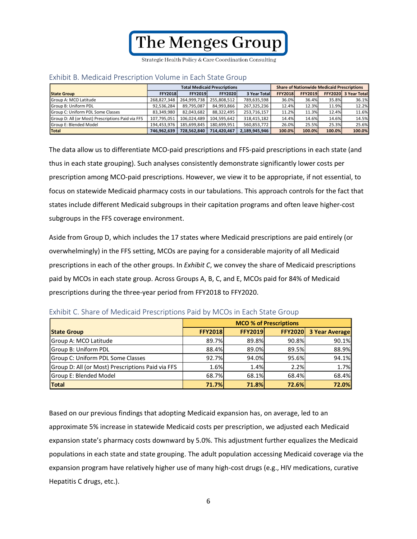Strategic Health Policy & Care Coordination Consulting

|                                                   | <b>Total Medicaid Prescriptions</b> |                |                |                      | <b>Share of Nationwide Medicaid Prescriptions</b> |                |        |                      |
|---------------------------------------------------|-------------------------------------|----------------|----------------|----------------------|---------------------------------------------------|----------------|--------|----------------------|
| <b>State Group</b>                                | <b>FFY2018</b>                      | <b>FFY2019</b> | <b>FFY2020</b> | <b>3 Year Totall</b> | <b>FFY2018</b>                                    | <b>FFY2019</b> |        | FFY2020 3 Year Total |
| <b>Group A: MCO Latitude</b>                      | 268.827.348                         | 264.999.738    | 255.808.512    | 789,635,598          | 36.0%                                             | 36.4%          | 35.8%  | 36.1%                |
| <b>Group B: Uniform PDL</b>                       | 92.536.284                          | 89.795.087     | 84.993.866     | 267,325,236          | 12.4%                                             | 12.3%          | 11.9%  | 12.2%                |
| <b>Group C: Uniform PDL Some Classes</b>          | 83.349.980                          | 82,043,682     | 88,322,495     | 253,716,157          | 11.2%                                             | 11.3%          | 12.4%  | 11.6%                |
| Group D: All (or Most) Prescriptions Paid via FFS | 107.795.051                         | 106.024.489    | 104.595.642    | 318.415.182          | 14.4%                                             | 14.6%          | 14.6%  | 14.5%                |
| <b>Group E: Blended Model</b>                     | 194.453.976                         | 185.699.845    | 180.699.951    | 560.853.772          | 26.0%                                             | 25.5%          | 25.3%  | 25.6%                |
| <b>Total</b>                                      | 746.962.639                         | 728.562.840    | 714.420.467    | 2.189.945.946        | 100.0%                                            | 100.0%         | 100.0% | 100.0%               |

#### <span id="page-7-0"></span>Exhibit B. Medicaid Prescription Volume in Each State Group

The data allow us to differentiate MCO-paid prescriptions and FFS-paid prescriptions in each state (and thus in each state grouping). Such analyses consistently demonstrate significantly lower costs per prescription among MCO-paid prescriptions. However, we view it to be appropriate, if not essential, to focus on statewide Medicaid pharmacy costs in our tabulations. This approach controls for the fact that states include different Medicaid subgroups in their capitation programs and often leave higher-cost subgroups in the FFS coverage environment.

Aside from Group D, which includes the 17 states where Medicaid prescriptions are paid entirely (or overwhelmingly) in the FFS setting, MCOs are paying for a considerable majority of all Medicaid prescriptions in each of the other groups. In *Exhibit C*, we convey the share of Medicaid prescriptions paid by MCOs in each state group. Across Groups A, B, C, and E, MCOs paid for 84% of Medicaid prescriptions during the three-year period from FFY2018 to FFY2020.

|                                                   | <b>MCO % of Prescriptions</b> |                |                |                       |  |
|---------------------------------------------------|-------------------------------|----------------|----------------|-----------------------|--|
| <b>State Group</b>                                | <b>FFY2018</b>                | <b>FFY2019</b> | <b>FFY2020</b> | <b>3 Year Average</b> |  |
| Group A: MCO Latitude                             | 89.7%                         | 89.8%          | 90.8%          | 90.1%                 |  |
| Group B: Uniform PDL                              | 88.4%                         | 89.0%          | 89.5%          | 88.9%                 |  |
| Group C: Uniform PDL Some Classes                 | 92.7%                         | 94.0%          | 95.6%          | 94.1%                 |  |
| Group D: All (or Most) Prescriptions Paid via FFS | 1.6%                          | 1.4%           | 2.2%           | 1.7%                  |  |
| Group E: Blended Model                            | 68.7%                         | 68.1%          | 68.4%          | 68.4%                 |  |
| Total                                             | 71.7%                         | 71.8%          | 72.6%          | 72.0%                 |  |

<span id="page-7-1"></span>

| Exhibit C. Share of Medicaid Prescriptions Paid by MCOs in Each State Group |  |
|-----------------------------------------------------------------------------|--|
|-----------------------------------------------------------------------------|--|

Based on our previous findings that adopting Medicaid expansion has, on average, led to an approximate 5% increase in statewide Medicaid costs per prescription, we adjusted each Medicaid expansion state's pharmacy costs downward by 5.0%. This adjustment further equalizes the Medicaid populations in each state and state grouping. The adult population accessing Medicaid coverage via the expansion program have relatively higher use of many high-cost drugs (e.g., HIV medications, curative Hepatitis C drugs, etc.).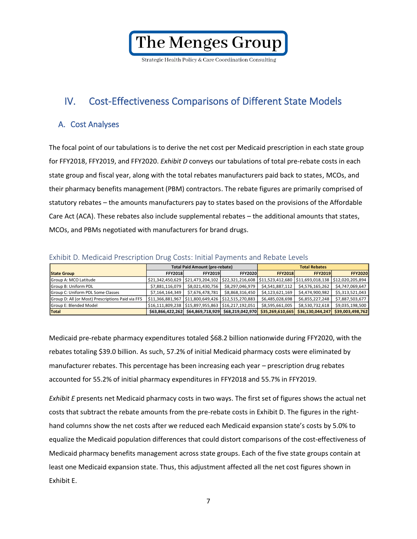Strategic Health Policy & Care Coordination Consulting

## <span id="page-8-0"></span>IV. Cost-Effectiveness Comparisons of Different State Models

### <span id="page-8-1"></span>A. Cost Analyses

The focal point of our tabulations is to derive the net cost per Medicaid prescription in each state group for FFY2018, FFY2019, and FFY2020. *Exhibit D* conveys our tabulations of total pre-rebate costs in each state group and fiscal year, along with the total rebates manufacturers paid back to states, MCOs, and their pharmacy benefits management (PBM) contractors. The rebate figures are primarily comprised of statutory rebates – the amounts manufacturers pay to states based on the provisions of the Affordable Care Act (ACA). These rebates also include supplemental rebates – the additional amounts that states, MCOs, and PBMs negotiated with manufacturers for brand drugs.

|                                                   |                                                    | <b>Total Paid Amount (pre-rebate)</b> |                                                                                           | <b>Total Rebates</b> |                  |                  |  |
|---------------------------------------------------|----------------------------------------------------|---------------------------------------|-------------------------------------------------------------------------------------------|----------------------|------------------|------------------|--|
| <b>State Group</b>                                | <b>FFY2018</b>                                     | <b>FFY2019</b>                        | <b>FFY2020</b>                                                                            | <b>FFY2018</b>       | <b>FFY2019</b>   | <b>FFY2020</b>   |  |
| Group A: MCO Latitude                             |                                                    |                                       | $$21,342,450,629$ $$21,473,204,102$ $$22,321,216,608$ $$11,523,412,680$ $$11,693,018,138$ |                      |                  | \$12,020,205,894 |  |
| Group B: Uniform PDL                              | \$7,881,116,079                                    | \$8,021,430,756                       | \$8,297,046,979                                                                           | \$4,541,887,112      | \$4,576,165,262  | \$4,747,069,647  |  |
| Group C: Uniform PDL Some Classes                 |                                                    | \$7,164,164,349 \$7,676,478,781       | \$8,868,316,450                                                                           | \$4,123,621,169      | \$4,474,900,982  | \$5,313,521,043  |  |
| Group D: All (or Most) Prescriptions Paid via FFS | \$11,366,881,967 \$11,800,649,426 \$12,515,270,883 |                                       |                                                                                           | \$6,485,028,698      | \$6,855,227,248  | \$7,887,503,677  |  |
| Group E: Blended Model                            |                                                    |                                       |                                                                                           | \$8,595,661,005      | \$8,530,732,618  | \$9,035,198,500  |  |
| Total                                             |                                                    |                                       | \$63,866,422,262 \$64,869,718,929 \$68,219,042,970                                        | \$35,269,610,665     | \$36,130,044,247 | \$39,003,498,762 |  |

#### <span id="page-8-2"></span>Exhibit D. Medicaid Prescription Drug Costs: Initial Payments and Rebate Levels

Medicaid pre-rebate pharmacy expenditures totaled \$68.2 billion nationwide during FFY2020, with the rebates totaling \$39.0 billion. As such, 57.2% of initial Medicaid pharmacy costs were eliminated by manufacturer rebates. This percentage has been increasing each year – prescription drug rebates accounted for 55.2% of initial pharmacy expenditures in FFY2018 and 55.7% in FFY2019.

*Exhibit E* presents net Medicaid pharmacy costs in two ways. The first set of figures shows the actual net costs that subtract the rebate amounts from the pre-rebate costs in Exhibit D. The figures in the righthand columns show the net costs after we reduced each Medicaid expansion state's costs by 5.0% to equalize the Medicaid population differences that could distort comparisons of the cost-effectiveness of Medicaid pharmacy benefits management across state groups. Each of the five state groups contain at least one Medicaid expansion state. Thus, this adjustment affected all the net cost figures shown in Exhibit E.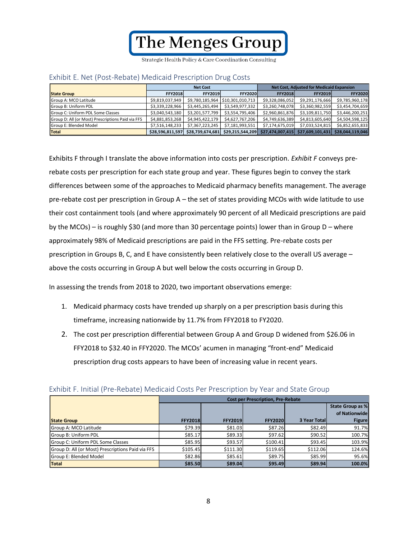Strategic Health Policy & Care Coordination Consulting

|                                                   |                  | <b>Net Cost</b>  |                                  | <b>Net Cost, Adjusted for Medicaid Expansion</b> |                  |                  |  |
|---------------------------------------------------|------------------|------------------|----------------------------------|--------------------------------------------------|------------------|------------------|--|
| <b>State Group</b>                                | <b>FFY2018</b>   | <b>FFY2019</b>   | <b>FFY2020</b>                   | <b>FFY2018</b>                                   | <b>FFY2019</b>   | <b>FFY2020</b>   |  |
| Group A: MCO Latitude                             | \$9,819,037,949  |                  | \$9,780,185,964 \$10,301,010,713 | \$9,328,086,052                                  | \$9,291,176,666  | \$9,785,960,178  |  |
| <b>Group B: Uniform PDL</b>                       | \$3,339,228,966  | \$3,445,265,494  | \$3,549,977,332                  | \$3,260,748,078                                  | \$3,360,982,559  | \$3,454,704,659  |  |
| Group C: Uniform PDL Some Classes                 | \$3,040,543,180  | \$3,201,577,799  | \$3,554,795,406                  | \$2,960,861,876                                  | \$3,109,811,750  | \$3,446,200,251  |  |
| Group D: All (or Most) Prescriptions Paid via FFS | \$4,881,853,268  | \$4,945,422,179  | \$4,627,767,206                  | \$4,749,636,389                                  | \$4,813,605,640  | \$4,504,598,125  |  |
| <b>Group E: Blended Model</b>                     | \$7,516,148,233  | \$7,367,223,245  | \$7,181,993,551                  | \$7,174,675,019                                  | \$7,033,524,815  | \$6,852,655,833  |  |
| Total                                             | \$28,596,811,597 | \$28,739,674,681 | \$29,215,544,209                 | \$27,474,007,415                                 | \$27,609,101,431 | \$28,044,119,046 |  |

#### <span id="page-9-0"></span>Exhibit E. Net (Post-Rebate) Medicaid Prescription Drug Costs

Exhibits F through I translate the above information into costs per prescription. *Exhibit F* conveys prerebate costs per prescription for each state group and year. These figures begin to convey the stark differences between some of the approaches to Medicaid pharmacy benefits management. The average pre-rebate cost per prescription in Group A – the set of states providing MCOs with wide latitude to use their cost containment tools (and where approximately 90 percent of all Medicaid prescriptions are paid by the MCOs) – is roughly \$30 (and more than 30 percentage points) lower than in Group D – where approximately 98% of Medicaid prescriptions are paid in the FFS setting. Pre-rebate costs per prescription in Groups B, C, and E have consistently been relatively close to the overall US average – above the costs occurring in Group A but well below the costs occurring in Group D.

In assessing the trends from 2018 to 2020, two important observations emerge:

- 1. Medicaid pharmacy costs have trended up sharply on a per prescription basis during this timeframe, increasing nationwide by 11.7% from FFY2018 to FY2020.
- 2. The cost per prescription differential between Group A and Group D widened from \$26.06 in FFY2018 to \$32.40 in FFY2020. The MCOs' acumen in managing "front-end" Medicaid prescription drug costs appears to have been of increasing value in recent years.

|                                                   |                | <b>Cost per Prescription, Pre-Rebate</b> |                 |                     |                  |  |  |  |  |
|---------------------------------------------------|----------------|------------------------------------------|-----------------|---------------------|------------------|--|--|--|--|
|                                                   |                |                                          |                 |                     | State Group as % |  |  |  |  |
|                                                   |                |                                          |                 |                     | of Nationwide    |  |  |  |  |
| <b>State Group</b>                                | <b>FFY2018</b> | <b>FFY2019</b>                           | <b>FFY20201</b> | <b>3 Year Total</b> | <b>Figure</b>    |  |  |  |  |
| Group A: MCO Latitude                             | \$79.39        | \$81.03                                  | \$87.26         | \$82.49             | 91.7%            |  |  |  |  |
| Group B: Uniform PDL                              | \$85.17        | \$89.33                                  | \$97.62         | \$90.52             | 100.7%           |  |  |  |  |
| Group C: Uniform PDL Some Classes                 | \$85.95        | \$93.57                                  | \$100.41        | \$93.45             | 103.9%           |  |  |  |  |
| Group D: All (or Most) Prescriptions Paid via FFS | \$105.45       | \$111.30                                 | \$119.65        | \$112.06            | 124.6%           |  |  |  |  |
| Group E: Blended Model                            | \$82.86        | \$85.61                                  | \$89.75         | \$85.99             | 95.6%            |  |  |  |  |
| Total                                             | \$85.50        | \$89.04                                  | \$95.49         | \$89.94             | 100.0%           |  |  |  |  |

#### <span id="page-9-1"></span>Exhibit F. Initial (Pre-Rebate) Medicaid Costs Per Prescription by Year and State Group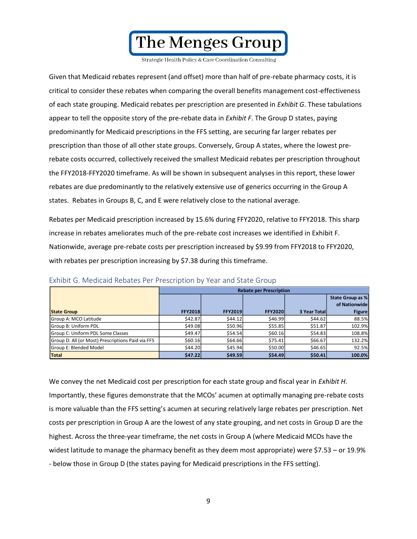

Given that Medicaid rebates represent (and offset) more than half of pre-rebate pharmacy costs, it is critical to consider these rebates when comparing the overall benefits management cost-effectiveness of each state grouping. Medicaid rebates per prescription are presented in *Exhibit G*. These tabulations appear to tell the opposite story of the pre-rebate data in *Exhibit F*. The Group D states, paying predominantly for Medicaid prescriptions in the FFS setting, are securing far larger rebates per prescription than those of all other state groups. Conversely, Group A states, where the lowest prerebate costs occurred, collectively received the smallest Medicaid rebates per prescription throughout the FFY2018-FFY2020 timeframe. As will be shown in subsequent analyses in this report, these lower rebates are due predominantly to the relatively extensive use of generics occurring in the Group A states. Rebates in Groups B, C, and E were relatively close to the national average.

Rebates per Medicaid prescription increased by 15.6% during FFY2020, relative to FFY2018. This sharp increase in rebates ameliorates much of the pre-rebate cost increases we identified in Exhibit F. Nationwide, average pre-rebate costs per prescription increased by \$9.99 from FFY2018 to FFY2020, with rebates per prescription increasing by \$7.38 during this timeframe.

|                                                   |                | <b>Rebate per Prescription</b> |                 |                     |                  |  |  |  |  |
|---------------------------------------------------|----------------|--------------------------------|-----------------|---------------------|------------------|--|--|--|--|
|                                                   |                |                                |                 |                     | State Group as % |  |  |  |  |
|                                                   |                |                                |                 |                     | of Nationwide    |  |  |  |  |
| <b>State Group</b>                                | <b>FFY2018</b> | <b>FFY2019</b>                 | <b>FFY20201</b> | <b>3 Year Total</b> | <b>Figure</b>    |  |  |  |  |
| Group A: MCO Latitude                             | \$42.87        | \$44.12                        | \$46.99         | \$44.62             | 88.5%            |  |  |  |  |
| Group B: Uniform PDL                              | \$49.08        | \$50.96                        | \$55.85         | \$51.87             | 102.9%           |  |  |  |  |
| Group C: Uniform PDL Some Classes                 | \$49.47        | \$54.54                        | \$60.16         | \$54.83             | 108.8%           |  |  |  |  |
| Group D: All (or Most) Prescriptions Paid via FFS | \$60.16        | \$64.66                        | \$75.41         | \$66.67             | 132.2%           |  |  |  |  |
| Group E: Blended Model                            | \$44.20        | \$45.94                        | \$50.00         | \$46.65             | 92.5%            |  |  |  |  |
| <b>Total</b>                                      | \$47.22        | \$49.59                        | \$54.49         | \$50.41             | 100.0%           |  |  |  |  |

<span id="page-10-0"></span>Exhibit G. Medicaid Rebates Per Prescription by Year and State Group

We convey the net Medicaid cost per prescription for each state group and fiscal year in *Exhibit H*. Importantly, these figures demonstrate that the MCOs' acumen at optimally managing pre-rebate costs is more valuable than the FFS setting's acumen at securing relatively large rebates per prescription. Net costs per prescription in Group A are the lowest of any state grouping, and net costs in Group D are the highest. Across the three-year timeframe, the net costs in Group A (where Medicaid MCOs have the widest latitude to manage the pharmacy benefit as they deem most appropriate) were \$7.53 – or 19.9% - below those in Group D (the states paying for Medicaid prescriptions in the FFS setting).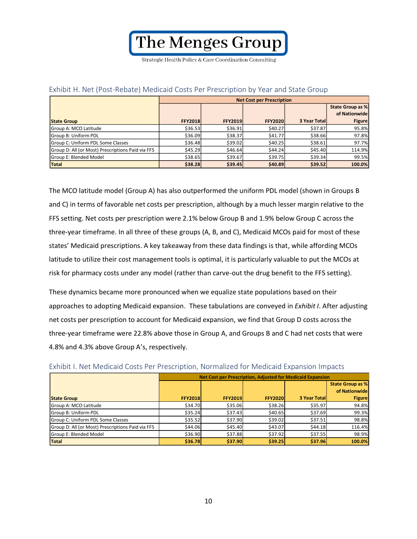Strategic Health Policy & Care Coordination Consulting

|                                                   |                | <b>Net Cost per Prescription</b> |                |                     |               |  |  |  |
|---------------------------------------------------|----------------|----------------------------------|----------------|---------------------|---------------|--|--|--|
|                                                   |                | State Group as %                 |                |                     |               |  |  |  |
|                                                   |                |                                  |                |                     | of Nationwide |  |  |  |
| <b>State Group</b>                                | <b>FFY2018</b> | <b>FFY2019</b>                   | <b>FFY2020</b> | <b>3 Year Total</b> | <b>Figure</b> |  |  |  |
| Group A: MCO Latitude                             | \$36.53        | \$36.91                          | \$40.27        | \$37.87             | 95.8%         |  |  |  |
| Group B: Uniform PDL                              | \$36.09        | \$38.37                          | \$41.77        | \$38.66             | 97.8%         |  |  |  |
| Group C: Uniform PDL Some Classes                 | \$36.48        | \$39.02                          | \$40.25        | \$38.61             | 97.7%         |  |  |  |
| Group D: All (or Most) Prescriptions Paid via FFS | \$45.29        | \$46.64                          | \$44.24        | \$45.40             | 114.9%        |  |  |  |
| Group E: Blended Model                            | \$38.65        | \$39.67                          | \$39.75        | \$39.34             | 99.5%         |  |  |  |
| Total                                             | \$38.28        | \$39.45                          | \$40.89        | \$39.52             | 100.0%        |  |  |  |

### <span id="page-11-0"></span>Exhibit H. Net (Post-Rebate) Medicaid Costs Per Prescription by Year and State Group

The MCO latitude model (Group A) has also outperformed the uniform PDL model (shown in Groups B and C) in terms of favorable net costs per prescription, although by a much lesser margin relative to the FFS setting. Net costs per prescription were 2.1% below Group B and 1.9% below Group C across the three-year timeframe. In all three of these groups (A, B, and C), Medicaid MCOs paid for most of these states' Medicaid prescriptions. A key takeaway from these data findings is that, while affording MCOs latitude to utilize their cost management tools is optimal, it is particularly valuable to put the MCOs at risk for pharmacy costs under any model (rather than carve-out the drug benefit to the FFS setting).

These dynamics became more pronounced when we equalize state populations based on their approaches to adopting Medicaid expansion. These tabulations are conveyed in *Exhibit I*. After adjusting net costs per prescription to account for Medicaid expansion, we find that Group D costs across the three-year timeframe were 22.8% above those in Group A, and Groups B and C had net costs that were 4.8% and 4.3% above Group A's, respectively.

|                                                   |                | Net Cost per Prescription, Adjusted for Medicaid Expansion |                |                      |                  |  |  |  |  |
|---------------------------------------------------|----------------|------------------------------------------------------------|----------------|----------------------|------------------|--|--|--|--|
|                                                   |                |                                                            |                |                      | State Group as % |  |  |  |  |
|                                                   |                |                                                            |                |                      | of Nationwide    |  |  |  |  |
| <b>State Group</b>                                | <b>FFY2018</b> | <b>FFY2019</b>                                             | <b>FFY2020</b> | <b>3 Year Totall</b> | <b>Figure</b>    |  |  |  |  |
| Group A: MCO Latitude                             | \$34.70        | \$35.06                                                    | \$38.26        | \$35.97              | 94.8%            |  |  |  |  |
| Group B: Uniform PDL                              | \$35.24        | \$37.43                                                    | \$40.65        | \$37.69              | 99.3%            |  |  |  |  |
| Group C: Uniform PDL Some Classes                 | \$35.52        | \$37.90                                                    | \$39.02        | \$37.51              | 98.8%            |  |  |  |  |
| Group D: All (or Most) Prescriptions Paid via FFS | \$44.06        | \$45.40                                                    | \$43.07        | \$44.18              | 116.4%           |  |  |  |  |
| Group E: Blended Model                            | \$36.90        | \$37.88                                                    | \$37.92        | \$37.55              | 98.9%            |  |  |  |  |
| Total                                             | \$36.78        | \$37.90                                                    | \$39.25        | \$37.96              | 100.0%           |  |  |  |  |

<span id="page-11-1"></span>

| Exhibit I. Net Medicaid Costs Per Prescription, Normalized for Medicaid Expansion Impacts |  |
|-------------------------------------------------------------------------------------------|--|
|-------------------------------------------------------------------------------------------|--|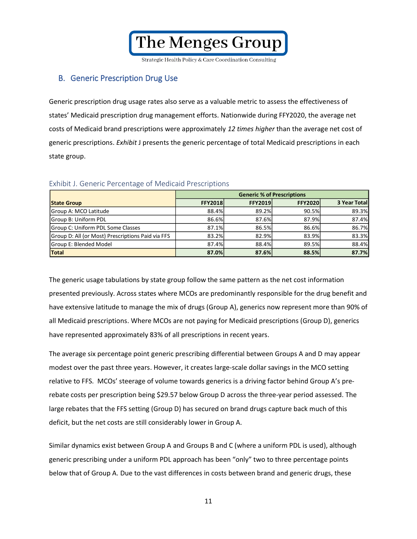Strategic Health Policy & Care Coordination Consulting

### <span id="page-12-0"></span>B. Generic Prescription Drug Use

Generic prescription drug usage rates also serve as a valuable metric to assess the effectiveness of states' Medicaid prescription drug management efforts. Nationwide during FFY2020, the average net costs of Medicaid brand prescriptions were approximately *12 times higher* than the average net cost of generic prescriptions. *Exhibit* J presents the generic percentage of total Medicaid prescriptions in each state group.

|                                                   | <b>Generic % of Prescriptions</b> |                |                |              |
|---------------------------------------------------|-----------------------------------|----------------|----------------|--------------|
| <b>State Group</b>                                | <b>FFY2018</b>                    | <b>FFY2019</b> | <b>FFY2020</b> | 3 Year Total |
| Group A: MCO Latitude                             | 88.4%                             | 89.2%          | 90.5%          | 89.3%        |
| Group B: Uniform PDL                              | 86.6%                             | 87.6%          | 87.9%          | 87.4%        |
| Group C: Uniform PDL Some Classes                 | 87.1%                             | 86.5%          | 86.6%          | 86.7%        |
| Group D: All (or Most) Prescriptions Paid via FFS | 83.2%                             | 82.9%          | 83.9%          | 83.3%        |
| Group E: Blended Model                            | 87.4%                             | 88.4%          | 89.5%          | 88.4%        |
| <b>Total</b>                                      | 87.0%                             | 87.6%          | 88.5%          | 87.7%        |

### <span id="page-12-1"></span>Exhibit J. Generic Percentage of Medicaid Prescriptions

The generic usage tabulations by state group follow the same pattern as the net cost information presented previously. Across states where MCOs are predominantly responsible for the drug benefit and have extensive latitude to manage the mix of drugs (Group A), generics now represent more than 90% of all Medicaid prescriptions. Where MCOs are not paying for Medicaid prescriptions (Group D), generics have represented approximately 83% of all prescriptions in recent years.

The average six percentage point generic prescribing differential between Groups A and D may appear modest over the past three years. However, it creates large-scale dollar savings in the MCO setting relative to FFS. MCOs' steerage of volume towards generics is a driving factor behind Group A's prerebate costs per prescription being \$29.57 below Group D across the three-year period assessed. The large rebates that the FFS setting (Group D) has secured on brand drugs capture back much of this deficit, but the net costs are still considerably lower in Group A.

Similar dynamics exist between Group A and Groups B and C (where a uniform PDL is used), although generic prescribing under a uniform PDL approach has been "only" two to three percentage points below that of Group A. Due to the vast differences in costs between brand and generic drugs, these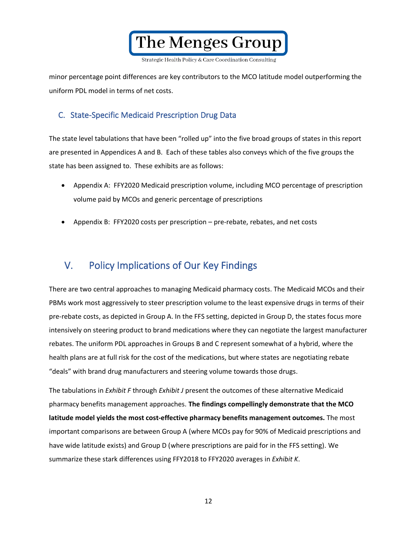The Menges Group Strategic Health Policy & Care Coordination Consulting

minor percentage point differences are key contributors to the MCO latitude model outperforming the uniform PDL model in terms of net costs.

### <span id="page-13-0"></span>C. State-Specific Medicaid Prescription Drug Data

The state level tabulations that have been "rolled up" into the five broad groups of states in this report are presented in Appendices A and B. Each of these tables also conveys which of the five groups the state has been assigned to. These exhibits are as follows:

- Appendix A: FFY2020 Medicaid prescription volume, including MCO percentage of prescription volume paid by MCOs and generic percentage of prescriptions
- Appendix B: FFY2020 costs per prescription pre-rebate, rebates, and net costs

## <span id="page-13-1"></span>V. Policy Implications of Our Key Findings

There are two central approaches to managing Medicaid pharmacy costs. The Medicaid MCOs and their PBMs work most aggressively to steer prescription volume to the least expensive drugs in terms of their pre-rebate costs, as depicted in Group A. In the FFS setting, depicted in Group D, the states focus more intensively on steering product to brand medications where they can negotiate the largest manufacturer rebates. The uniform PDL approaches in Groups B and C represent somewhat of a hybrid, where the health plans are at full risk for the cost of the medications, but where states are negotiating rebate "deals" with brand drug manufacturers and steering volume towards those drugs.

The tabulations in *Exhibit F* through *Exhibit J* present the outcomes of these alternative Medicaid pharmacy benefits management approaches. **The findings compellingly demonstrate that the MCO latitude model yields the most cost-effective pharmacy benefits management outcomes.** The most important comparisons are between Group A (where MCOs pay for 90% of Medicaid prescriptions and have wide latitude exists) and Group D (where prescriptions are paid for in the FFS setting). We summarize these stark differences using FFY2018 to FFY2020 averages in *Exhibit K*.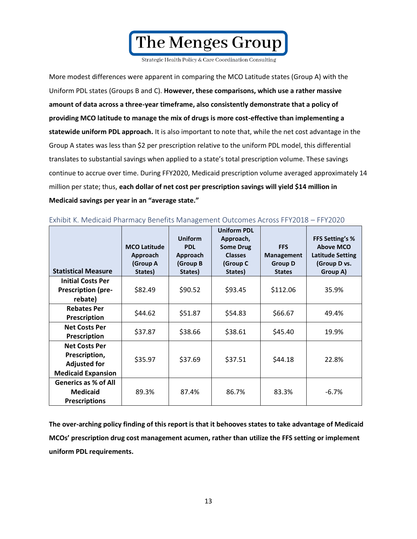Strategic Health Policy & Care Coordination Consulting

More modest differences were apparent in comparing the MCO Latitude states (Group A) with the Uniform PDL states (Groups B and C). **However, these comparisons, which use a rather massive amount of data across a three-year timeframe, also consistently demonstrate that a policy of providing MCO latitude to manage the mix of drugs is more cost-effective than implementing a statewide uniform PDL approach.** It is also important to note that, while the net cost advantage in the Group A states was less than \$2 per prescription relative to the uniform PDL model, this differential translates to substantial savings when applied to a state's total prescription volume. These savings continue to accrue over time. During FFY2020, Medicaid prescription volume averaged approximately 14 million per state; thus, **each dollar of net cost per prescription savings will yield \$14 million in Medicaid savings per year in an "average state."**

| <b>Statistical Measure</b>                                                                | <b>MCO Latitude</b><br>Approach<br>(Group A<br>States) | <b>Uniform</b><br><b>PDL</b><br>Approach<br>(Group B<br>States) | <b>Uniform PDL</b><br>Approach,<br><b>Some Drug</b><br><b>Classes</b><br>(Group C<br>States) | <b>FFS</b><br><b>Management</b><br><b>Group D</b><br><b>States</b> | <b>FFS Setting's %</b><br><b>Above MCO</b><br><b>Latitude Setting</b><br>(Group D vs.<br>Group A) |
|-------------------------------------------------------------------------------------------|--------------------------------------------------------|-----------------------------------------------------------------|----------------------------------------------------------------------------------------------|--------------------------------------------------------------------|---------------------------------------------------------------------------------------------------|
| <b>Initial Costs Per</b><br><b>Prescription (pre-</b><br>rebate)                          | \$82.49                                                | \$90.52                                                         | \$93.45                                                                                      | \$112.06                                                           | 35.9%                                                                                             |
| <b>Rebates Per</b><br><b>Prescription</b>                                                 | \$44.62                                                | \$51.87                                                         | \$54.83                                                                                      | \$66.67                                                            | 49.4%                                                                                             |
| <b>Net Costs Per</b><br><b>Prescription</b>                                               | \$37.87                                                | \$38.66                                                         | \$38.61                                                                                      | \$45.40                                                            | 19.9%                                                                                             |
| <b>Net Costs Per</b><br>Prescription,<br><b>Adjusted for</b><br><b>Medicaid Expansion</b> | \$35.97                                                | \$37.69                                                         | \$37.51                                                                                      | \$44.18                                                            | 22.8%                                                                                             |
| <b>Generics as % of All</b><br><b>Medicaid</b><br><b>Prescriptions</b>                    | 89.3%                                                  | 87.4%                                                           | 86.7%                                                                                        | 83.3%                                                              | $-6.7%$                                                                                           |

<span id="page-14-0"></span>Exhibit K. Medicaid Pharmacy Benefits Management Outcomes Across FFY2018 – FFY2020

**The over-arching policy finding of this report is that it behooves states to take advantage of Medicaid MCOs' prescription drug cost management acumen, rather than utilize the FFS setting or implement uniform PDL requirements.**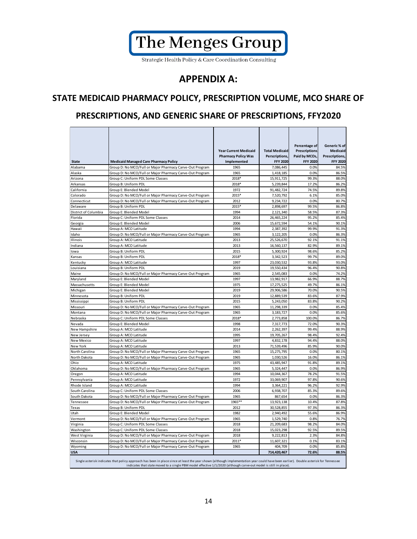

## **APPENDIX A:**

### **STATE MEDICAID PHARMACY POLICY, PRESCRIPTION VOLUME, MCO SHARE OF**

### **PRESCRIPTIONS, AND GENERIC SHARE OF PRESCRIPTIONS, FFY2020**

| <b>State</b>                                                                                                                                                                                                                                                                                              | <b>Medicaid Managed Care Pharmacy Policy</b>             | <b>Year Current Medicaid</b><br><b>Pharmacy Policy Was</b><br>Implemented | <b>Total Medicaid</b><br>Perscriptions,<br><b>FFY 2020</b> | Percentage of<br>Prescriptions<br>Paid by MCOs,<br><b>FFY 2020</b> | Generic% of<br><b>Medicaid</b><br>Prescriptions,<br><b>FFY 2020</b> |  |
|-----------------------------------------------------------------------------------------------------------------------------------------------------------------------------------------------------------------------------------------------------------------------------------------------------------|----------------------------------------------------------|---------------------------------------------------------------------------|------------------------------------------------------------|--------------------------------------------------------------------|---------------------------------------------------------------------|--|
| Alabama                                                                                                                                                                                                                                                                                                   | Group D: No MCO/Full or Major Pharmacy Carve-Out Program | 1965                                                                      | 7,086,445                                                  | 0.0%                                                               | 84.5%                                                               |  |
| Alaska                                                                                                                                                                                                                                                                                                    | Group D: No MCO/Full or Major Pharmacy Carve-Out Program | 1965                                                                      | 1,418,185                                                  | 0.0%                                                               | 86.5%                                                               |  |
| Arizona                                                                                                                                                                                                                                                                                                   | Group C: Uniform PDL Some Classes                        | 2018*                                                                     | 15,911,725                                                 | 99.3%                                                              | 88.0%                                                               |  |
| Arkansas                                                                                                                                                                                                                                                                                                  | Group B: Uniform PDL                                     | 2018*                                                                     | 5,239,844                                                  | 17.2%                                                              | 86.2%                                                               |  |
| California                                                                                                                                                                                                                                                                                                | Group E: Blended Model                                   | 1972                                                                      | 91,482,724                                                 | 74.5%                                                              | 89.8%                                                               |  |
| Colorado                                                                                                                                                                                                                                                                                                  | Group D: No MCO/Full or Major Pharmacy Carve-Out Program | 2015*                                                                     | 7,520,792                                                  | 6.1%                                                               | 85.0%                                                               |  |
| Connecticut                                                                                                                                                                                                                                                                                               | Group D: No MCO/Full or Major Pharmacy Carve-Out Program | 2012                                                                      | 9,234,722                                                  | 0.0%                                                               | 80.7%                                                               |  |
| Delaware                                                                                                                                                                                                                                                                                                  | Group B: Uniform PDL                                     | 2015*                                                                     | 2,898,697                                                  | 99.5%                                                              | 86.8%                                                               |  |
| District of Columbia                                                                                                                                                                                                                                                                                      | Group E: Blended Model                                   | 1994                                                                      | 2,121,340                                                  | 58.5%                                                              | 87.3%                                                               |  |
| Florida                                                                                                                                                                                                                                                                                                   | Group C: Uniform PDL Some Classes                        | 2014                                                                      | 26,465,224                                                 | 95.2%                                                              | 85.4%                                                               |  |
| Georgia                                                                                                                                                                                                                                                                                                   | Group E: Blended Model                                   | 2006                                                                      | 15,672,594                                                 | 54.1%                                                              | 90.1%                                                               |  |
| Hawaii                                                                                                                                                                                                                                                                                                    | Group A: MCO Latitude                                    | 1994                                                                      | 2,387,392                                                  | 99.9%                                                              | 91.3%                                                               |  |
| Idaho                                                                                                                                                                                                                                                                                                     | Group D: No MCO/Full or Major Pharmacy Carve-Out Program | 1965                                                                      | 3,122,205                                                  | 0.0%                                                               | 86.3%                                                               |  |
| Illinois                                                                                                                                                                                                                                                                                                  | Group A: MCO Latitude                                    | 2013                                                                      | 25,526,670                                                 | 92.1%                                                              | 91.1%                                                               |  |
| Indiana                                                                                                                                                                                                                                                                                                   | Group A: MCO Latitude                                    | 2013                                                                      | 16,560,137                                                 | 82.9%                                                              | 89.1%                                                               |  |
| lowa                                                                                                                                                                                                                                                                                                      | Group B: Uniform PDL                                     | 2015                                                                      | 5,300,924                                                  | 98.6%                                                              | 85.2%                                                               |  |
| Kansas                                                                                                                                                                                                                                                                                                    | Group B: Uniform PDL                                     | 2018*                                                                     | 3,342,523                                                  | 99.7%                                                              | 89.0%                                                               |  |
| Kentucky                                                                                                                                                                                                                                                                                                  | Group A: MCO Latitude                                    | 1997                                                                      | 23,030,532                                                 | 93.8%                                                              | 93.0%                                                               |  |
| Louisiana                                                                                                                                                                                                                                                                                                 | Group B: Uniform PDL                                     | 2019                                                                      | 19,550,434                                                 | 96.4%                                                              | 90.8%                                                               |  |
| Maine                                                                                                                                                                                                                                                                                                     | Group D: No MCO/Full or Major Pharmacy Carve-Out Program | 1965                                                                      | 2,545,083                                                  | 0.0%                                                               | 74.2%                                                               |  |
| Maryland                                                                                                                                                                                                                                                                                                  | Group E: Blended Model                                   | 1997                                                                      | 13,982,917                                                 | 66.9%                                                              | 88.7%                                                               |  |
| Massachusetts                                                                                                                                                                                                                                                                                             | Group E: Blended Model                                   | 1975                                                                      | 17,275,525                                                 | 49.7%                                                              | 86.1%                                                               |  |
| Michigan                                                                                                                                                                                                                                                                                                  | Group E: Blended Model                                   | 2019                                                                      | 29,906,586                                                 | 70.0%                                                              | 90.5%                                                               |  |
| Minnesota                                                                                                                                                                                                                                                                                                 | Group B: Uniform PDL                                     | 2019                                                                      | 12,889,539                                                 | 83.6%                                                              | 87.9%                                                               |  |
| Mississippi                                                                                                                                                                                                                                                                                               | Group B: Uniform PDL                                     | 2015                                                                      | 5,243,050                                                  | 83.8%                                                              | 90.2%                                                               |  |
| Missouri                                                                                                                                                                                                                                                                                                  | Group D: No MCO/Full or Major Pharmacy Carve-Out Program | 1965                                                                      | 11,298,339                                                 | 0.0%                                                               | 85.4%                                                               |  |
| Montana                                                                                                                                                                                                                                                                                                   | Group D: No MCO/Full or Major Pharmacy Carve-Out Program | 1965                                                                      | 3, 183, 727                                                | 0.0%                                                               | 85.6%                                                               |  |
| Nebraska                                                                                                                                                                                                                                                                                                  | Group C: Uniform PDL Some Classes                        | 2018*                                                                     | 2,773,858                                                  | 100.0%                                                             | 86.7%                                                               |  |
| Nevada                                                                                                                                                                                                                                                                                                    | Group E: Blended Model                                   | 1998                                                                      | 7,317,773                                                  | 72.0%                                                              | 90.3%                                                               |  |
| New Hampshire                                                                                                                                                                                                                                                                                             | Group A: MCO Latitude                                    | 2014                                                                      | 2,262,397                                                  | 99.4%                                                              | 88.9%                                                               |  |
| New Jersey                                                                                                                                                                                                                                                                                                | Group A: MCO Latitude                                    | 1995                                                                      | 19,705,267                                                 | 98.4%                                                              | 92.4%                                                               |  |
| <b>New Mexico</b>                                                                                                                                                                                                                                                                                         | Group A: MCO Latitude                                    | 1997                                                                      | 4,832,178                                                  | 94.4%                                                              | 88.0%                                                               |  |
| New York                                                                                                                                                                                                                                                                                                  | Group A: MCO Latitude                                    | 2013                                                                      | 71,539,496                                                 | 85.9%                                                              | 90.0%                                                               |  |
| North Carolina                                                                                                                                                                                                                                                                                            | Group D: No MCO/Full or Major Pharmacy Carve-Out Program | 1965                                                                      | 15,275,795                                                 | 0.0%                                                               | 80.1%                                                               |  |
| North Dakota                                                                                                                                                                                                                                                                                              | Group D: No MCO/Full or Major Pharmacy Carve-Out Program | 1965                                                                      | 1,030,526                                                  | 16.0%                                                              | 86.1%                                                               |  |
| Ohio                                                                                                                                                                                                                                                                                                      | Group A: MCO Latitude                                    | 1975                                                                      | 43,485,947                                                 | 91.8%                                                              | 89.1%                                                               |  |
| Oklahoma                                                                                                                                                                                                                                                                                                  | Group D: No MCO/Full or Major Pharmacy Carve-Out Program | 1965                                                                      | 5,324,447                                                  | 0.0%                                                               | 86.9%                                                               |  |
| Oregon                                                                                                                                                                                                                                                                                                    | Group A: MCO Latitude                                    | 1994                                                                      | 10,044,367                                                 | 78.2%                                                              | 91.5%                                                               |  |
| Pennsylvania                                                                                                                                                                                                                                                                                              | Group A: MCO Latitude                                    | 1972                                                                      | 33,069,907                                                 | 97.8%                                                              | 90.6%                                                               |  |
| Rhode Island                                                                                                                                                                                                                                                                                              | Group A: MCO Latitude                                    | 1994                                                                      | 3,364,221                                                  | 96.2%                                                              | 92.9%                                                               |  |
| South Carolina                                                                                                                                                                                                                                                                                            | Group C: Uniform PDL Some Classes                        | 2006                                                                      | 6,938,707                                                  | 85.3%                                                              | 89.6%                                                               |  |
| South Dakota                                                                                                                                                                                                                                                                                              | Group D: No MCO/Full or Major Pharmacy Carve-Out Program | 1965                                                                      | 867,654                                                    | 0.0%                                                               | 86.3%                                                               |  |
| Tennessee                                                                                                                                                                                                                                                                                                 | Group D: No MCO/Full or Major Pharmacy Carve-Out Program | 1965**                                                                    | 13,923,138                                                 | 10.4%                                                              | 87.8%                                                               |  |
| Texas                                                                                                                                                                                                                                                                                                     | Group B: Uniform PDL                                     | 2012                                                                      | 30,528,855                                                 | 97.3%                                                              | 86.3%                                                               |  |
| Utah                                                                                                                                                                                                                                                                                                      | Group E: Blended Model                                   | 1982                                                                      | 2,940,492                                                  | 55.6%                                                              | 86.9%                                                               |  |
| Vermont                                                                                                                                                                                                                                                                                                   | Group D: No MCO/Full or Major Pharmacy Carve-Out Program | 1965                                                                      | 1,529,740                                                  | 0.8%                                                               | 76.7%                                                               |  |
| Virginia                                                                                                                                                                                                                                                                                                  | Group C: Uniform PDL Some Classes                        | 2018                                                                      | 21,209,683                                                 | 98.2%                                                              | 84.0%                                                               |  |
| Washington                                                                                                                                                                                                                                                                                                | Group C: Uniform PDL Some Classes                        | 2018                                                                      | 15,023,298                                                 | 92.5%                                                              | 89.5%                                                               |  |
| West Virginia                                                                                                                                                                                                                                                                                             | Group D: No MCO/Full or Major Pharmacy Carve-Out Program | 2018                                                                      | 9,222,813                                                  | 2.3%                                                               | 84.8%                                                               |  |
| Wisconsin                                                                                                                                                                                                                                                                                                 | Group D: No MCO/Full or Major Pharmacy Carve-Out Program | 2011*                                                                     | 11,607,321                                                 | 0.1%                                                               | 83.1%                                                               |  |
| Wyoming                                                                                                                                                                                                                                                                                                   | Group D: No MCO/Full or Major Pharmacy Carve-Out Program | 1965                                                                      | 404,709                                                    | 0.0%                                                               | 85.8%                                                               |  |
| <b>USA</b>                                                                                                                                                                                                                                                                                                |                                                          |                                                                           | 714,420,467                                                | 72.6%                                                              | 88.5%                                                               |  |
| Single asterisk indicates that policy approach has been in place since at least the year shown (although implementation year could have been earlier). Double asterisk for Tennessee<br>indicates that state moved to a single PBM model effective 1/1/2020 (although carve-out model is still in place). |                                                          |                                                                           |                                                            |                                                                    |                                                                     |  |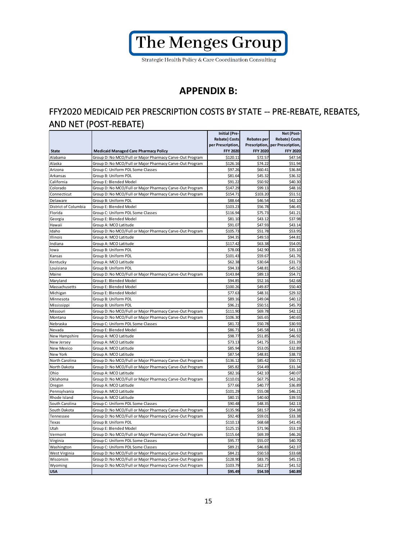

## **APPENDIX B:**

## FFY2020 MEDICAID PER PRESCRIPTION COSTS BY STATE -- PRE-REBATE, REBATES, AND NET (POST-REBATE)

|                      |                                                          | <b>Initial (Pre-</b> |                    | Net (Post-           |
|----------------------|----------------------------------------------------------|----------------------|--------------------|----------------------|
|                      |                                                          | <b>Rebate) Costs</b> | <b>Rebates per</b> | <b>Rebate) Costs</b> |
|                      |                                                          | per Prescription,    | Prescription,      | per Prescription,    |
| <b>State</b>         | <b>Medicaid Managed Care Pharmacy Policy</b>             | <b>FFY 2020</b>      | <b>FFY 2020</b>    | <b>FFY 2020</b>      |
| Alabama              | Group D: No MCO/Full or Major Pharmacy Carve-Out Program | \$120.11             | \$72.57            | \$47.54              |
| Alaska               | Group D: No MCO/Full or Major Pharmacy Carve-Out Program | \$126.16             | \$74.22            | \$51.94              |
| Arizona              | Group C: Uniform PDL Some Classes                        | \$97.26              | \$60.41            | \$36.84              |
| Arkansas             | Group B: Uniform PDL                                     | \$81.64              | \$45.32            | \$36.32              |
| California           | Group E: Blended Model                                   | \$91.22              | \$50.92            | \$40.30              |
| Colorado             | Group D: No MCO/Full or Major Pharmacy Carve-Out Program | \$147.29             | \$99.13            | \$48.16              |
| Connecticut          | Group D: No MCO/Full or Major Pharmacy Carve-Out Program | \$154.71             | \$103.20           | \$51.51              |
| Delaware             | Group B: Uniform PDL                                     | \$88.64              | \$46.54            | \$42.10              |
| District of Columbia | Group E: Blended Model                                   | \$103.23             | \$56.78            | \$46.45              |
| Florida              | Group C: Uniform PDL Some Classes                        | \$116.94             | \$75.73            | \$41.21              |
| Georgia              | Group E: Blended Model                                   | \$81.10              | \$43.12            | \$37.98              |
| Hawaii               | Group A: MCO Latitude                                    | \$91.07              | \$47.93            | \$43.14              |
| Idaho                | Group D: No MCO/Full or Major Pharmacy Carve-Out Program | \$105.73             | \$51.78            | \$53.95              |
| Illinois             | Group A: MCO Latitude                                    | \$94.35              | \$49.53            | \$44.81              |
| Indiana              | Group A: MCO Latitude                                    | \$117.42             | \$63.38            | \$54.05              |
| lowa                 | Group B: Uniform PDL                                     | \$78.00              | \$42.90            | \$35.10              |
| Kansas               | Group B: Uniform PDL                                     | \$101.43             | \$59.67            | \$41.76              |
| Kentucky             | Group A: MCO Latitude                                    | \$62.38              | \$30.64            | \$31.73              |
| Louisiana            | Group B: Uniform PDL                                     | \$94.33              | \$48.81            | \$45.52              |
| Maine                | Group D: No MCO/Full or Major Pharmacy Carve-Out Program | \$143.84             | \$89.13            | \$54.71              |
| Maryland             | Group E: Blended Model                                   | \$94.85              | \$52.16            | \$42.68              |
| Massachusetts        | Group E: Blended Model                                   | \$100.26             | \$49.87            | \$50.40              |
| Michigan             | Group E: Blended Model                                   | \$77.63              | \$48.31            | \$29.32              |
| Minnesota            | Group B: Uniform PDL                                     | \$89.16              | \$49.04            | \$40.12              |
| Mississippi          | Group B: Uniform PDL                                     | \$96.21              | \$50.51            | \$45.70              |
| Missouri             | Group D: No MCO/Full or Major Pharmacy Carve-Out Program | \$111.90             | \$69.78            | \$42.12              |
| Montana              | Group D: No MCO/Full or Major Pharmacy Carve-Out Program | \$106.30             | \$65.65            | \$40.65              |
| Nebraska             | Group C: Uniform PDL Some Classes                        | \$81.72              | \$50.78            | \$30.93              |
| Nevada               | Group E: Blended Model                                   | \$86.71              | \$45.58            | \$41.13              |
| New Hampshire        | Group A: MCO Latitude                                    | \$98.77              | \$51.85            | \$46.92              |
| New Jersey           | Group A: MCO Latitude                                    | \$73.13              | \$41.75            | \$31.39              |
| New Mexico           | Group A: MCO Latitude                                    | \$85.94              | \$53.05            | \$32.89              |
| New York             | Group A: MCO Latitude                                    | \$87.54              | \$48.81            | \$38.73              |
| North Carolina       | Group D: No MCO/Full or Major Pharmacy Carve-Out Program | \$136.12             | \$85.42            | \$50.71              |
| North Dakota         | Group D: No MCO/Full or Major Pharmacy Carve-Out Program | \$85.82              | \$54.49            | \$31.34              |
|                      |                                                          |                      |                    | \$40.07              |
| Ohio                 | Group A: MCO Latitude                                    | \$82.16              | \$42.10            |                      |
| Oklahoma             | Group D: No MCO/Full or Major Pharmacy Carve-Out Program | \$110.01             | \$67.75            | \$42.26              |
| Oregon               | Group A: MCO Latitude                                    | \$77.66              | \$40.77            | \$36.89              |
| Pennsylvania         | Group A: MCO Latitude                                    | \$101.29             | \$55.08            | \$46.21              |
| Rhode Island         | Group A: MCO Latitude                                    | \$80.15              | \$40.60            | \$39.55              |
| South Carolina       | Group C: Uniform PDL Some Classes                        | \$90.48              | \$48.35            | \$42.13              |
| South Dakota         | Group D: No MCO/Full or Major Pharmacy Carve-Out Program | \$135.96             | \$81.57            | \$54.38              |
| Tennessee            | Group D: No MCO/Full or Major Pharmacy Carve-Out Program | \$92.40              | \$59.01            | \$33.38              |
| Texas                | Group B: Uniform PDL                                     | \$110.13             | \$68.68            | \$41.45              |
| Utah                 | Group E: Blended Model                                   | \$125.15             | \$71.96            | \$53.19              |
| Vermont              | Group D: No MCO/Full or Major Pharmacy Carve-Out Program | \$115.64             | \$69.39            | \$46.26              |
| Virginia             | Group C: Uniform PDL Some Classes                        | \$95.77              | \$55.07            | \$40.70              |
| Washington           | Group C: Uniform PDL Some Classes                        | \$89.21              | \$46.83            | \$42.37              |
| West Virginia        | Group D: No MCO/Full or Major Pharmacy Carve-Out Program | \$84.21              | \$50.53            | \$33.68              |
| Wisconsin            | Group D: No MCO/Full or Major Pharmacy Carve-Out Program | \$128.90             | \$83.75            | \$45.15              |
| Wyoming              | Group D: No MCO/Full or Major Pharmacy Carve-Out Program | \$103.79             | \$62.27            | \$41.52              |
| <b>USA</b>           |                                                          | \$95.49              | \$54.59            | \$40.89              |